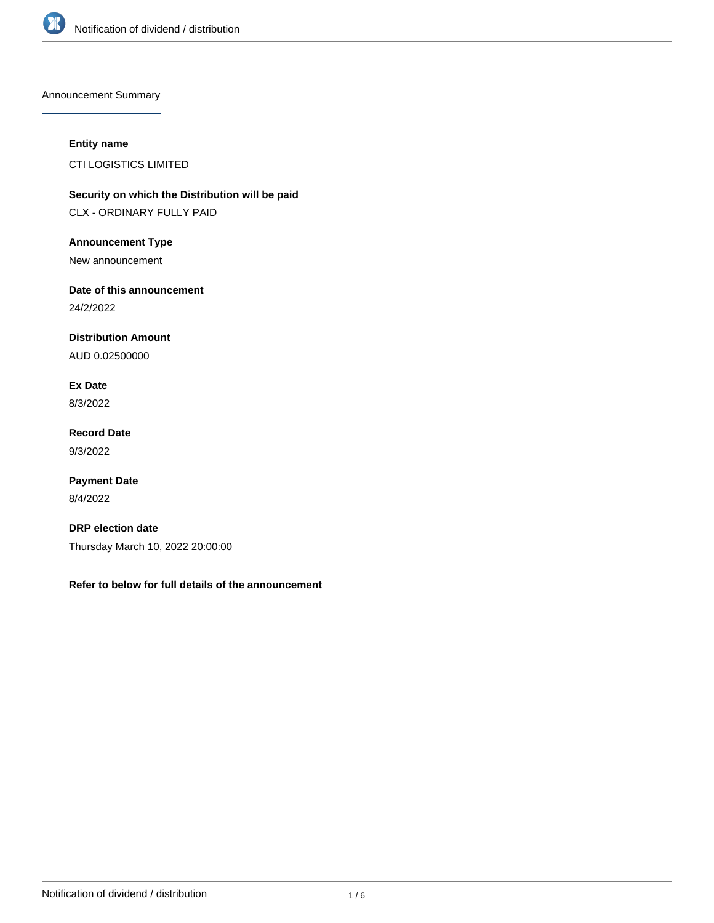

Announcement Summary

# **Entity name**

CTI LOGISTICS LIMITED

**Security on which the Distribution will be paid** CLX - ORDINARY FULLY PAID

**Announcement Type**

New announcement

**Date of this announcement**

24/2/2022

**Distribution Amount**

AUD 0.02500000

**Ex Date** 8/3/2022

**Record Date** 9/3/2022

**Payment Date** 8/4/2022

**DRP election date** Thursday March 10, 2022 20:00:00

**Refer to below for full details of the announcement**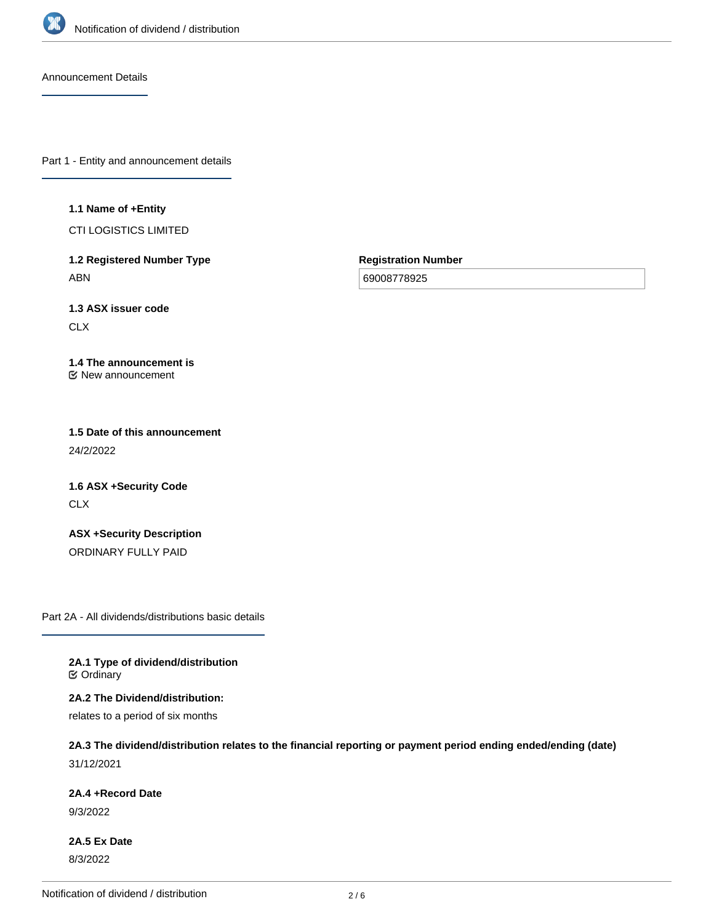

Announcement Details

Part 1 - Entity and announcement details

#### **1.1 Name of +Entity**

CTI LOGISTICS LIMITED

**1.2 Registered Number Type** ABN

**Registration Number**

69008778925

**1.3 ASX issuer code** CLX

#### **1.4 The announcement is** New announcement

**1.5 Date of this announcement** 24/2/2022

**1.6 ASX +Security Code** CLX

**ASX +Security Description** ORDINARY FULLY PAID

Part 2A - All dividends/distributions basic details

**2A.1 Type of dividend/distribution C** Ordinary

**2A.2 The Dividend/distribution:**

relates to a period of six months

# **2A.3 The dividend/distribution relates to the financial reporting or payment period ending ended/ending (date)** 31/12/2021

**2A.4 +Record Date**

9/3/2022

**2A.5 Ex Date** 8/3/2022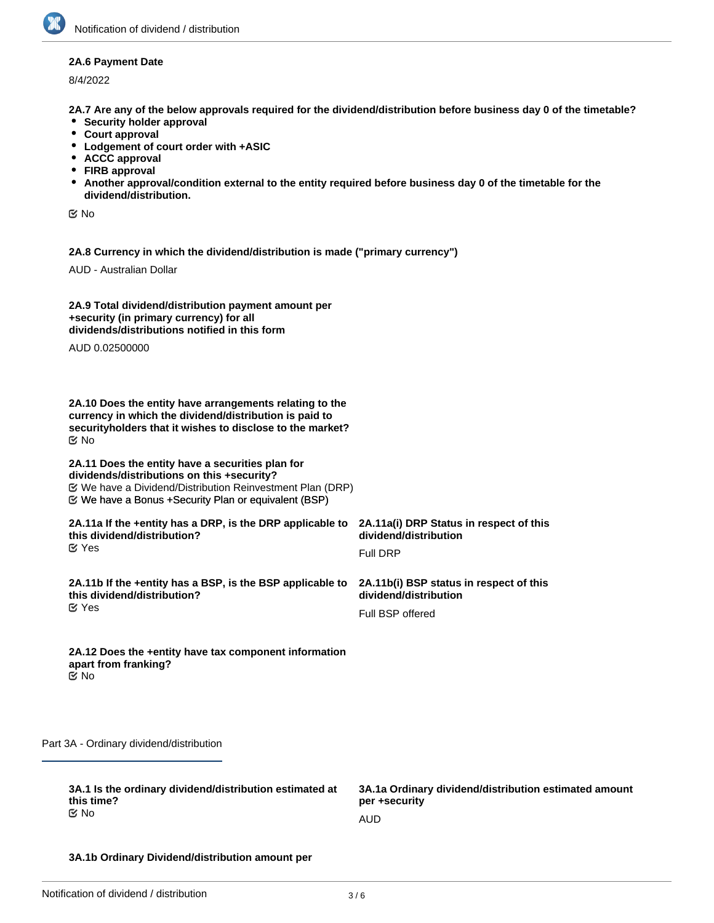#### **2A.6 Payment Date**

8/4/2022

**2A.7 Are any of the below approvals required for the dividend/distribution before business day 0 of the timetable?**

- **•** Security holder approval
- **Court approval**
- **Lodgement of court order with +ASIC**
- **ACCC approval**
- **FIRB approval**
- **Another approval/condition external to the entity required before business day 0 of the timetable for the dividend/distribution.**

No

**2A.8 Currency in which the dividend/distribution is made ("primary currency")**

AUD - Australian Dollar

| 2A.9 Total dividend/distribution payment amount per |
|-----------------------------------------------------|
| +security (in primary currency) for all             |
| dividends/distributions notified in this form       |

AUD 0.02500000

**2A.10 Does the entity have arrangements relating to the currency in which the dividend/distribution is paid to securityholders that it wishes to disclose to the market?** No

**2A.11 Does the entity have a securities plan for dividends/distributions on this +security?** We have a Bonus +Security Plan or equivalent (BSP) We have a Dividend/Distribution Reinvestment Plan (DRP)

**2A.11a If the +entity has a DRP, is the DRP applicable to this dividend/distribution? ⊘** Yes

**2A.11b If the +entity has a BSP, is the BSP applicable to this dividend/distribution?** Yes

**2A.11a(i) DRP Status in respect of this dividend/distribution**

Full DRP

**2A.11b(i) BSP status in respect of this dividend/distribution**

Full BSP offered

**2A.12 Does the +entity have tax component information apart from franking?** No

Part 3A - Ordinary dividend/distribution

**3A.1 Is the ordinary dividend/distribution estimated at this time?** No

**3A.1a Ordinary dividend/distribution estimated amount per +security**

AUD

#### **3A.1b Ordinary Dividend/distribution amount per**

**security**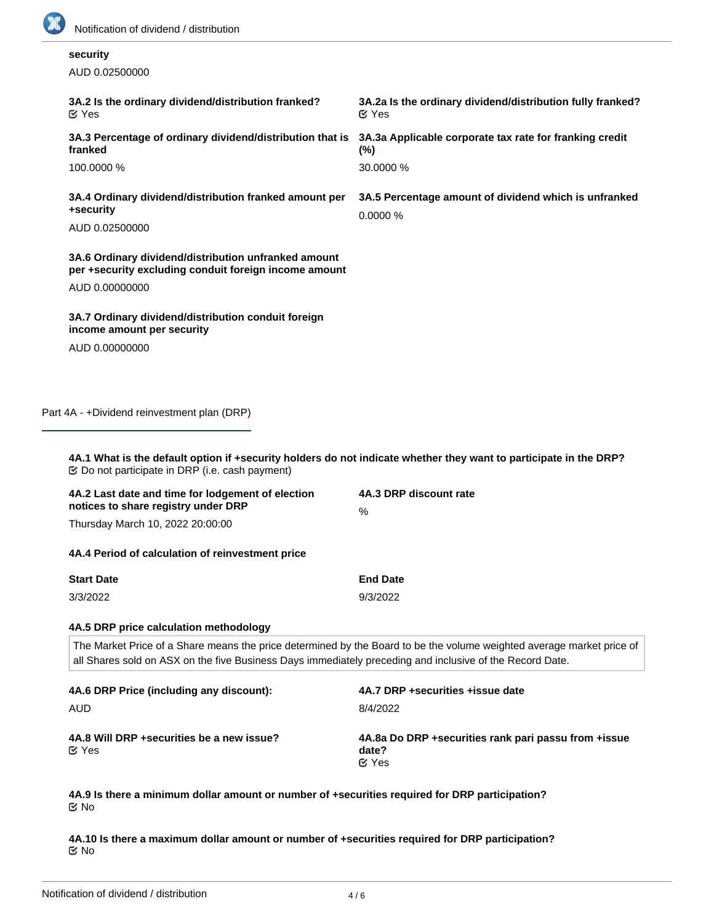

# **security**

AUD 0.02500000

| 3A.2 Is the ordinary dividend/distribution franked?<br>$\mathfrak{C}$ Yes                                                       | 3A.2a Is the ordinary dividend/distribution fully franked?<br>$\mathfrak{C}$ Yes |
|---------------------------------------------------------------------------------------------------------------------------------|----------------------------------------------------------------------------------|
| 3A.3 Percentage of ordinary dividend/distribution that is<br>franked                                                            | 3A.3a Applicable corporate tax rate for franking credit<br>$(\%)$                |
| 100,0000 %                                                                                                                      | 30,0000 %                                                                        |
| 3A.4 Ordinary dividend/distribution franked amount per<br>+security<br>AUD 0.02500000                                           | 3A.5 Percentage amount of dividend which is unfranked<br>0.0000%                 |
| 3A.6 Ordinary dividend/distribution unfranked amount<br>per +security excluding conduit foreign income amount<br>AUD 0.00000000 |                                                                                  |
| 3A.7 Ordinary dividend/distribution conduit foreign<br>income amount per security                                               |                                                                                  |
| AUD 0.00000000                                                                                                                  |                                                                                  |
|                                                                                                                                 |                                                                                  |
|                                                                                                                                 |                                                                                  |

Part 4A - +Dividend reinvestment plan (DRP)

**4A.1 What is the default option if +security holders do not indicate whether they want to participate in the DRP?** Do not participate in DRP (i.e. cash payment)

| 4A.2 Last date and time for lodgement of election | 4A.3 DRP discount rate |  |
|---------------------------------------------------|------------------------|--|
| notices to share registry under DRP               | %                      |  |
| Thursday March 10, 2022 20:00:00                  |                        |  |

**4A.4 Period of calculation of reinvestment price**

| <b>Start Date</b> | <b>End Date</b> |
|-------------------|-----------------|
| 3/3/2022          | 9/3/2022        |

#### **4A.5 DRP price calculation methodology**

The Market Price of a Share means the price determined by the Board to be the volume weighted average market price of all Shares sold on ASX on the five Business Days immediately preceding and inclusive of the Record Date.

| 4A.6 DRP Price (including any discount):                   | 4A.7 DRP + securities + issue date                                              |
|------------------------------------------------------------|---------------------------------------------------------------------------------|
| AUD                                                        | 8/4/2022                                                                        |
| 4A.8 Will DRP + securities be a new issue?<br>$\alpha$ Yes | 4A.8a Do DRP + securities rank pari passu from + issue<br>date?<br>$\alpha$ Yes |

**4A.9 Is there a minimum dollar amount or number of +securities required for DRP participation?** No

**4A.10 Is there a maximum dollar amount or number of +securities required for DRP participation?** No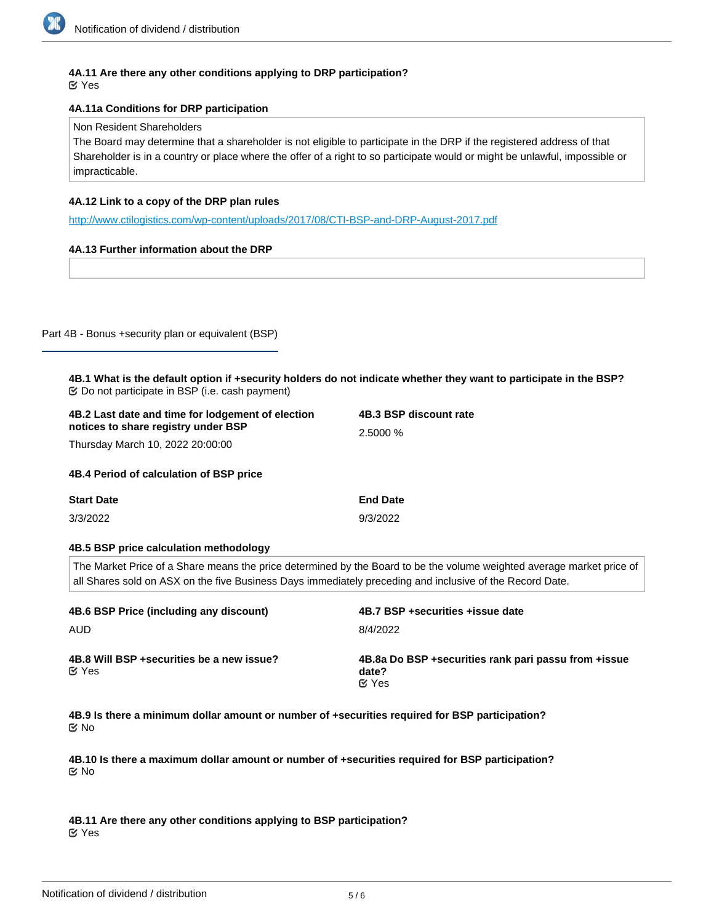# **4A.11 Are there any other conditions applying to DRP participation?**

Yes

# **4A.11a Conditions for DRP participation**

#### Non Resident Shareholders

The Board may determine that a shareholder is not eligible to participate in the DRP if the registered address of that Shareholder is in a country or place where the offer of a right to so participate would or might be unlawful, impossible or impracticable.

# **4A.12 Link to a copy of the DRP plan rules**

<http://www.ctilogistics.com/wp-content/uploads/2017/08/CTI-BSP-and-DRP-August-2017.pdf>

# **4A.13 Further information about the DRP**

#### Part 4B - Bonus +security plan or equivalent (BSP)

| 4B.1 What is the default option if +security holders do not indicate whether they want to participate in the BSP? |  |
|-------------------------------------------------------------------------------------------------------------------|--|
| $\mathfrak{S}$ Do not participate in BSP (i.e. cash payment)                                                      |  |

| 4B.2 Last date and time for lodgement of election | 4B.3 BSP discount rate |  |
|---------------------------------------------------|------------------------|--|
| notices to share registry under BSP               | 2.5000 %               |  |
| Thursday March 10, 2022 20:00:00                  |                        |  |
| 4B.4 Period of calculation of BSP price           |                        |  |
| <b>Start Date</b>                                 | <b>End Date</b>        |  |
| 3/3/2022                                          | 9/3/2022               |  |
|                                                   |                        |  |
|                                                   |                        |  |

# **4B.5 BSP price calculation methodology**

The Market Price of a Share means the price determined by the Board to be the volume weighted average market price of all Shares sold on ASX on the five Business Days immediately preceding and inclusive of the Record Date.

| 4B.6 BSP Price (including any discount)                    | 4B.7 BSP +securities +issue date                                                |
|------------------------------------------------------------|---------------------------------------------------------------------------------|
| <b>AUD</b>                                                 | 8/4/2022                                                                        |
| 4B.8 Will BSP + securities be a new issue?<br>$\alpha$ Yes | 4B.8a Do BSP + securities rank pari passu from + issue<br>date?<br>$\alpha$ Yes |

**4B.9 Is there a minimum dollar amount or number of +securities required for BSP participation?** No

**4B.10 Is there a maximum dollar amount or number of +securities required for BSP participation?** No

**4B.11 Are there any other conditions applying to BSP participation?** Yes